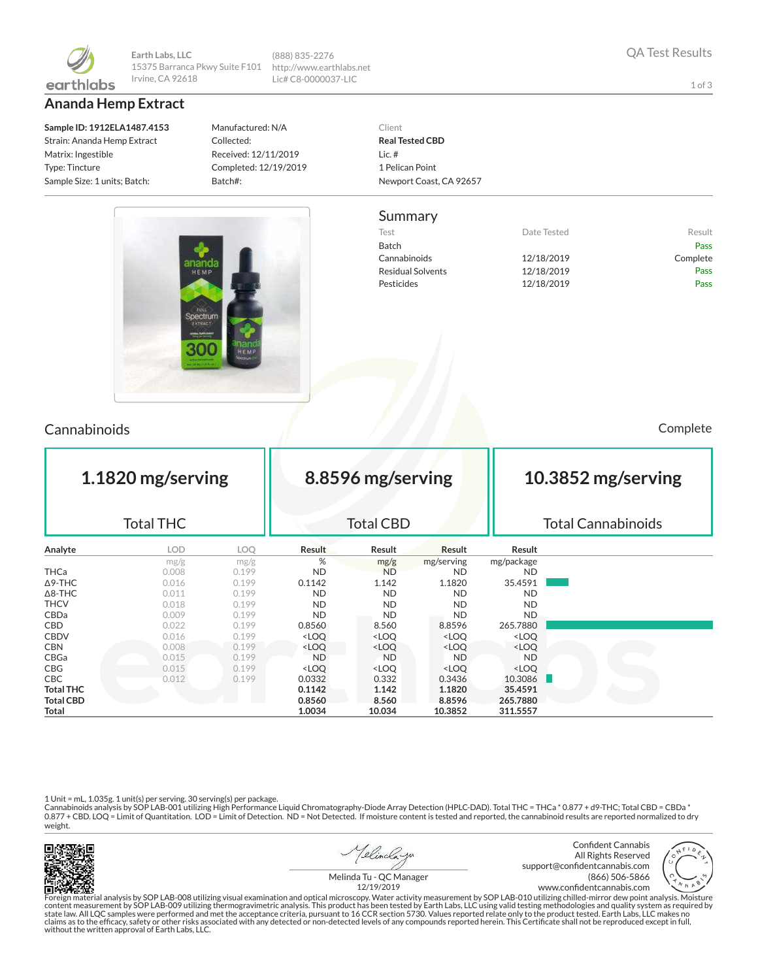

**Earth Labs, LLC** 15375 Barranca Pkwy Suite F101 Irvine, CA 92618

**Ananda Hemp Extract**

**Sample ID: 1912ELA1487.4153** Strain: Ananda Hemp Extract Matrix: Ingestible Type: Tincture Sample Size: 1 units; Batch:

Manufactured: N/A Collected: Received: 12/11/2019 Completed: 12/19/2019 Batch#:

1 I

(888) 835-2276 http://www.earthlabs.net Lic# C8-0000037-LIC



#### Summary

| Test                     | Date Tested | Result   |
|--------------------------|-------------|----------|
| Batch                    |             | Pass     |
| Cannabinoids             | 12/18/2019  | Complete |
| <b>Residual Solvents</b> | 12/18/2019  | Pass     |
| Pesticides               | 12/18/2019  | Pass     |

ור



### Cannabinoids Complete

| 1.1820 mg/serving<br><b>Total THC</b> |            |       |                                                                                                                    | 8.8596 mg/serving<br><b>Total CBD</b>                                                  |                                                          |                              | 10.3852 mg/serving<br><b>Total Cannabinoids</b> |  |  |
|---------------------------------------|------------|-------|--------------------------------------------------------------------------------------------------------------------|----------------------------------------------------------------------------------------|----------------------------------------------------------|------------------------------|-------------------------------------------------|--|--|
|                                       |            |       |                                                                                                                    |                                                                                        |                                                          |                              |                                                 |  |  |
| Analyte                               | <b>LOD</b> | LOO   | <b>Result</b>                                                                                                      | Result                                                                                 | Result                                                   | Result                       |                                                 |  |  |
|                                       | mg/g       | mg/g  | %                                                                                                                  | mg/g                                                                                   | mg/serving                                               | mg/package                   |                                                 |  |  |
| <b>THCa</b>                           | 0.008      | 0.199 | ND.                                                                                                                | <b>ND</b>                                                                              | <b>ND</b>                                                | <b>ND</b>                    |                                                 |  |  |
| $\Delta$ 9-THC                        | 0.016      | 0.199 | 0.1142                                                                                                             | 1.142                                                                                  | 1.1820                                                   | 35.4591                      |                                                 |  |  |
| $\Delta$ 8-THC                        | 0.011      | 0.199 | <b>ND</b>                                                                                                          | <b>ND</b>                                                                              | <b>ND</b>                                                | <b>ND</b>                    |                                                 |  |  |
| <b>THCV</b>                           | 0.018      | 0.199 | ND.                                                                                                                | <b>ND</b>                                                                              | <b>ND</b>                                                | <b>ND</b>                    |                                                 |  |  |
| CBDa                                  | 0.009      | 0.199 | <b>ND</b>                                                                                                          | <b>ND</b>                                                                              | <b>ND</b>                                                | ND.                          |                                                 |  |  |
| <b>CBD</b>                            | 0.022      | 0.199 | 0.8560                                                                                                             | 8.560                                                                                  | 8.8596                                                   | 265.7880                     |                                                 |  |  |
| <b>CBDV</b>                           | 0.016      | 0.199 | <loq< td=""><td><loq< td=""><td><loq< td=""><td><loq< td=""><td></td></loq<></td></loq<></td></loq<></td></loq<>   | <loq< td=""><td><loq< td=""><td><loq< td=""><td></td></loq<></td></loq<></td></loq<>   | <loq< td=""><td><loq< td=""><td></td></loq<></td></loq<> | <loq< td=""><td></td></loq<> |                                                 |  |  |
| <b>CBN</b>                            | 0.008      | 0.199 | <loq< td=""><td><loq< td=""><td><loq< td=""><td><loq< td=""><td></td></loq<></td></loq<></td></loq<></td></loq<>   | <loq< td=""><td><loq< td=""><td><loq< td=""><td></td></loq<></td></loq<></td></loq<>   | <loq< td=""><td><loq< td=""><td></td></loq<></td></loq<> | <loq< td=""><td></td></loq<> |                                                 |  |  |
| CBGa                                  | 0.015      | 0.199 | <b>ND</b>                                                                                                          | <b>ND</b>                                                                              | <b>ND</b>                                                | <b>ND</b>                    |                                                 |  |  |
| <b>CBG</b>                            | 0.015      | 0.199 | <loq< td=""><td><loq< td=""><td><math>&lt;</math> LOQ</td><td><loq< td=""><td></td></loq<></td></loq<></td></loq<> | <loq< td=""><td><math>&lt;</math> LOQ</td><td><loq< td=""><td></td></loq<></td></loq<> | $<$ LOQ                                                  | <loq< td=""><td></td></loq<> |                                                 |  |  |
| CBC                                   | 0.012      | 0.199 | 0.0332                                                                                                             | 0.332                                                                                  | 0.3436                                                   | 10.3086                      |                                                 |  |  |
| <b>Total THC</b>                      |            |       | 0.1142                                                                                                             | 1.142                                                                                  | 1.1820                                                   | 35.4591                      |                                                 |  |  |
| <b>Total CBD</b>                      |            |       | 0.8560                                                                                                             | 8.560                                                                                  | 8.8596                                                   | 265.7880                     |                                                 |  |  |
| Total                                 |            |       | 1.0034                                                                                                             | 10.034                                                                                 | 10.3852                                                  | 311.5557                     |                                                 |  |  |

1 Unit = mL, 1.035g. 1 unit(s) per serving. 30 serving(s) per package.<br>Cannabinoids analysis by SOP LAB-001 utilizing High Performance Liquid Chromatography-Diode Array Detection (HPLC-DAD). Total THC = THCa \* 0.877 + d9-T weight.



<u> 1elincla y</u>n

Confident Cannabis All Rights Reserved support@confidentcannabis.com (866) 506-5866 www.confidentcannabis.com



Melinda Tu - QC Manager 12/19/2019

Foreign material analysis by SOP LAB-008 utilizing visual examination and optical microscopy. Water activity measurement by SOP LAB-010 utilizing chilled-mirror dew point analysis. Moisture<br>state law. All LQC samples were without the written approval of Earth Labs, LLC.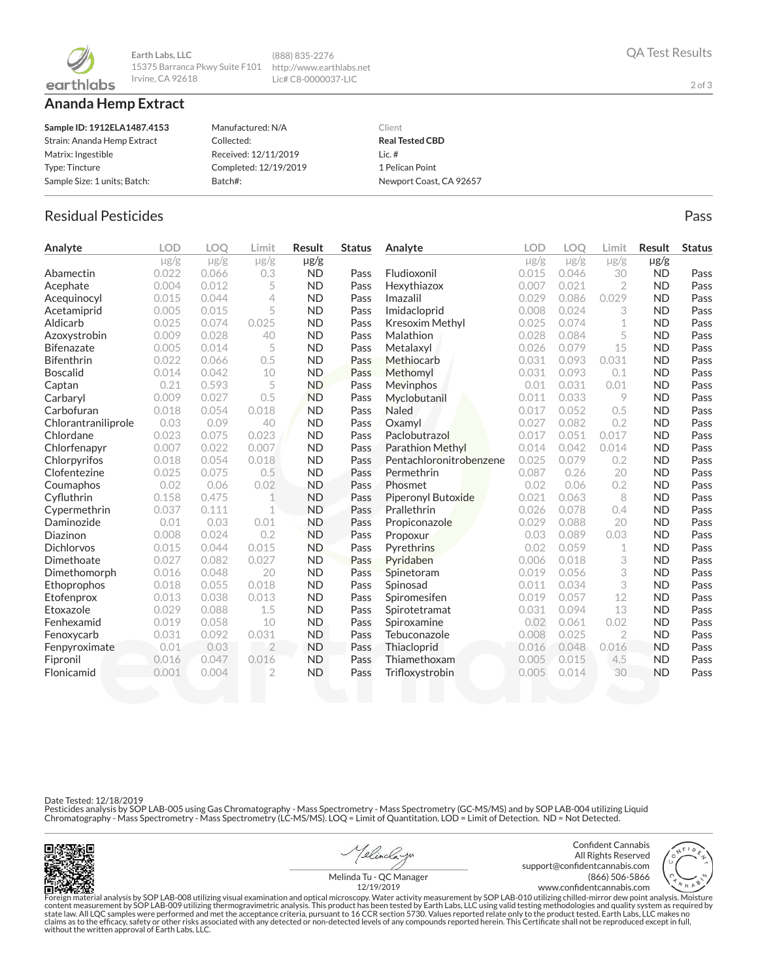

**Earth Labs, LLC** 15375 Barranca Pkwy Suite F101 http://www.earthlabs.net Irvine, CA 92618

**Ananda Hemp Extract**

| Sample ID: 1912ELA1487.4153  | Manufactured: N/A     | Client                  |
|------------------------------|-----------------------|-------------------------|
| Strain: Ananda Hemp Extract  | Collected:            | <b>Real Tested CBD</b>  |
| Matrix: Ingestible           | Received: 12/11/2019  | Lic. $#$                |
| Type: Tincture               | Completed: 12/19/2019 | 1 Pelican Point         |
| Sample Size: 1 units; Batch: | Batch#:               | Newport Coast, CA 92657 |

(888) 835-2276 Lic# C8-0000037-LIC

# Residual Pesticides Pass and the extensive part of the extensive part of the extensive pass and the extensive pass

| Analyte             | <b>LOD</b> | <b>LOO</b> | Limit          | Result    | <b>Status</b> | Analyte                   | LOD       | <b>LOO</b> | Limit          | <b>Result</b> | <b>Status</b> |
|---------------------|------------|------------|----------------|-----------|---------------|---------------------------|-----------|------------|----------------|---------------|---------------|
|                     | $\mu$ g/g  | $\mu$ g/g  | $\mu$ g/g      | µg/g      |               |                           | $\mu$ g/g | $\mu$ g/g  | $\mu$ g/g      | $\mu$ g/g     |               |
| Abamectin           | 0.022      | 0.066      | 0.3            | <b>ND</b> | Pass          | Fludioxonil               | 0.015     | 0.046      | 30             | <b>ND</b>     | Pass          |
| Acephate            | 0.004      | 0.012      | 5              | <b>ND</b> | Pass          | Hexythiazox               | 0.007     | 0.021      | $\overline{2}$ | <b>ND</b>     | Pass          |
| Acequinocyl         | 0.015      | 0.044      | $\overline{4}$ | <b>ND</b> | Pass          | Imazalil                  | 0.029     | 0.086      | 0.029          | <b>ND</b>     | Pass          |
| Acetamiprid         | 0.005      | 0.015      | 5              | <b>ND</b> | Pass          | Imidacloprid              | 0.008     | 0.024      | 3              | <b>ND</b>     | Pass          |
| Aldicarb            | 0.025      | 0.074      | 0.025          | <b>ND</b> | Pass          | Kresoxim Methyl           | 0.025     | 0.074      | 1              | <b>ND</b>     | Pass          |
| Azoxystrobin        | 0.009      | 0.028      | 40             | <b>ND</b> | Pass          | Malathion                 | 0.028     | 0.084      | 5              | <b>ND</b>     | Pass          |
| <b>Bifenazate</b>   | 0.005      | 0.014      | 5              | <b>ND</b> | Pass          | Metalaxyl                 | 0.026     | 0.079      | 15             | <b>ND</b>     | Pass          |
| <b>Bifenthrin</b>   | 0.022      | 0.066      | 0.5            | <b>ND</b> | Pass          | Methiocarb                | 0.031     | 0.093      | 0.031          | <b>ND</b>     | Pass          |
| <b>Boscalid</b>     | 0.014      | 0.042      | 10             | <b>ND</b> | Pass          | Methomyl                  | 0.031     | 0.093      | 0.1            | <b>ND</b>     | Pass          |
| Captan              | 0.21       | 0.593      | 5              | <b>ND</b> | Pass          | Mevinphos                 | 0.01      | 0.031      | 0.01           | <b>ND</b>     | Pass          |
| Carbaryl            | 0.009      | 0.027      | 0.5            | <b>ND</b> | Pass          | Myclobutanil              | 0.011     | 0.033      | 9              | <b>ND</b>     | Pass          |
| Carbofuran          | 0.018      | 0.054      | 0.018          | <b>ND</b> | Pass          | <b>Naled</b>              | 0.017     | 0.052      | 0.5            | <b>ND</b>     | Pass          |
| Chlorantraniliprole | 0.03       | 0.09       | 40             | <b>ND</b> | Pass          | Oxamyl                    | 0.027     | 0.082      | 0.2            | <b>ND</b>     | Pass          |
| Chlordane           | 0.023      | 0.075      | 0.023          | <b>ND</b> | Pass          | Paclobutrazol             | 0.017     | 0.051      | 0.017          | <b>ND</b>     | Pass          |
| Chlorfenapyr        | 0.007      | 0.022      | 0.007          | <b>ND</b> | Pass          | <b>Parathion Methyl</b>   | 0.014     | 0.042      | 0.014          | <b>ND</b>     | Pass          |
| Chlorpyrifos        | 0.018      | 0.054      | 0.018          | <b>ND</b> | Pass          | Pentachloronitrobenzene   | 0.025     | 0.079      | 0.2            | <b>ND</b>     | Pass          |
| Clofentezine        | 0.025      | 0.075      | 0.5            | <b>ND</b> | Pass          | Permethrin                | 0.087     | 0.26       | 20             | <b>ND</b>     | Pass          |
| Coumaphos           | 0.02       | 0.06       | 0.02           | <b>ND</b> | Pass          | Phosmet                   | 0.02      | 0.06       | 0.2            | <b>ND</b>     | Pass          |
| Cyfluthrin          | 0.158      | 0.475      | 1              | <b>ND</b> | Pass          | <b>Piperonyl Butoxide</b> | 0.021     | 0.063      | 8              | <b>ND</b>     | Pass          |
| Cypermethrin        | 0.037      | 0.111      | 1              | <b>ND</b> | Pass          | Prallethrin               | 0.026     | 0.078      | 0.4            | <b>ND</b>     | Pass          |
| Daminozide          | 0.01       | 0.03       | 0.01           | <b>ND</b> | Pass          | Propiconazole             | 0.029     | 0.088      | 20             | <b>ND</b>     | Pass          |
| Diazinon            | 0.008      | 0.024      | 0.2            | <b>ND</b> | Pass          | Propoxur                  | 0.03      | 0.089      | 0.03           | <b>ND</b>     | Pass          |
| <b>Dichlorvos</b>   | 0.015      | 0.044      | 0.015          | <b>ND</b> | Pass          | Pyrethrins                | 0.02      | 0.059      | 1              | <b>ND</b>     | Pass          |
| Dimethoate          | 0.027      | 0.082      | 0.027          | <b>ND</b> | Pass          | Pyridaben                 | 0.006     | 0.018      | 3              | <b>ND</b>     | Pass          |
| Dimethomorph        | 0.016      | 0.048      | 20             | <b>ND</b> | Pass          | Spinetoram                | 0.019     | 0.056      | 3              | <b>ND</b>     | Pass          |
| Ethoprophos         | 0.018      | 0.055      | 0.018          | <b>ND</b> | Pass          | Spinosad                  | 0.011     | 0.034      | 3              | <b>ND</b>     | Pass          |
| Etofenprox          | 0.013      | 0.038      | 0.013          | <b>ND</b> | Pass          | Spiromesifen              | 0.019     | 0.057      | 12             | <b>ND</b>     | Pass          |
| Etoxazole           | 0.029      | 0.088      | 1.5            | <b>ND</b> | Pass          | Spirotetramat             | 0.031     | 0.094      | 13             | <b>ND</b>     | Pass          |
| Fenhexamid          | 0.019      | 0.058      | 10             | <b>ND</b> | Pass          | Spiroxamine               | 0.02      | 0.061      | 0.02           | <b>ND</b>     | Pass          |
| Fenoxycarb          | 0.031      | 0.092      | 0.031          | <b>ND</b> | Pass          | Tebuconazole              | 0.008     | 0.025      | $\overline{2}$ | <b>ND</b>     | Pass          |
| Fenpyroximate       | 0.01       | 0.03       | $\overline{2}$ | <b>ND</b> | Pass          | Thiacloprid               | 0.016     | 0.048      | 0.016          | <b>ND</b>     | Pass          |
| Fipronil            | 0.016      | 0.047      | 0.016          | <b>ND</b> | Pass          | Thiamethoxam              | 0.005     | 0.015      | 4.5            | <b>ND</b>     | Pass          |
| Flonicamid          | 0.001      | 0.004      | $\overline{2}$ | <b>ND</b> | Pass          | Trifloxystrobin           | 0.005     | 0.014      | 30             | <b>ND</b>     | Pass          |
|                     |            |            |                |           |               |                           |           |            |                |               |               |

Date Tested: 12/18/2019

Pesticides analysis by SOP LAB-005 using Gas Chromatography - Mass Spectrometry - Mass Spectrometry (GC-MS/MS) and by SOP LAB-004 utilizing Liquid<br>Chromatography - Mass Spectrometry - Mass Spectrometry (LC-MS/MS). LOQ = Li



Yelinclaza

Confident Cannabis All Rights Reserved support@confidentcannabis.com (866) 506-5866 www.confidentcannabis.com



Melinda Tu - QC Manager 12/19/2019

Foreign material analysis by SOP LAB-008 utilizing visual examination and optical microscopy. Water activity measurement by SOP LAB-010 utilizing chilled-mirror dew point analysis. Moisture<br>state law. All LQC samples were without the written approval of Earth Labs, LLC.

2 of 3